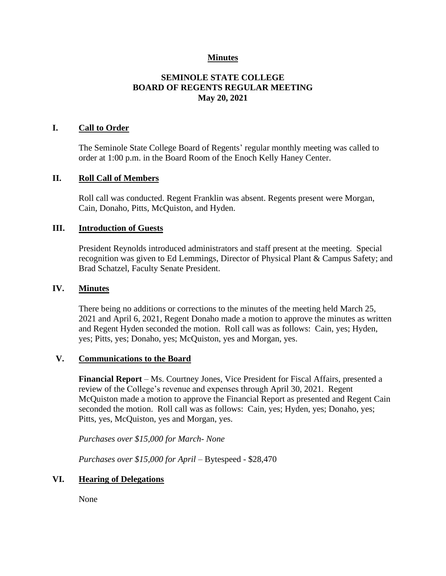### **Minutes**

# **SEMINOLE STATE COLLEGE BOARD OF REGENTS REGULAR MEETING May 20, 2021**

### **I. Call to Order**

The Seminole State College Board of Regents' regular monthly meeting was called to order at 1:00 p.m. in the Board Room of the Enoch Kelly Haney Center.

#### **II. Roll Call of Members**

Roll call was conducted. Regent Franklin was absent. Regents present were Morgan, Cain, Donaho, Pitts, McQuiston, and Hyden.

#### **III. Introduction of Guests**

President Reynolds introduced administrators and staff present at the meeting. Special recognition was given to Ed Lemmings, Director of Physical Plant & Campus Safety; and Brad Schatzel, Faculty Senate President.

#### **IV. Minutes**

There being no additions or corrections to the minutes of the meeting held March 25, 2021 and April 6, 2021, Regent Donaho made a motion to approve the minutes as written and Regent Hyden seconded the motion. Roll call was as follows: Cain, yes; Hyden, yes; Pitts, yes; Donaho, yes; McQuiston, yes and Morgan, yes.

### **V. Communications to the Board**

**Financial Report** – Ms. Courtney Jones, Vice President for Fiscal Affairs, presented a review of the College's revenue and expenses through April 30, 2021. Regent McQuiston made a motion to approve the Financial Report as presented and Regent Cain seconded the motion. Roll call was as follows: Cain, yes; Hyden, yes; Donaho, yes; Pitts, yes, McQuiston, yes and Morgan, yes.

*Purchases over \$15,000 for March- None*

*Purchases over \$15,000 for April* – Bytespeed - \$28,470

### **VI. Hearing of Delegations**

None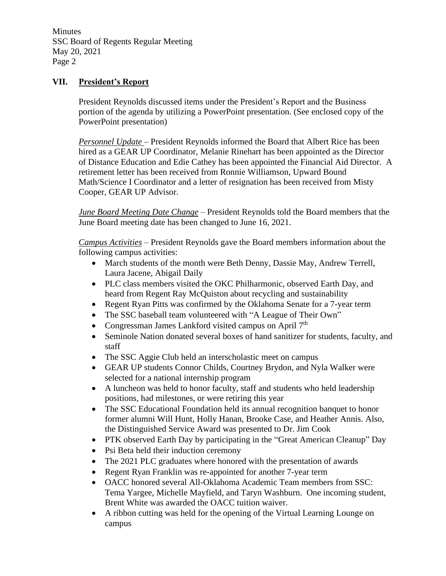# **VII. President's Report**

President Reynolds discussed items under the President's Report and the Business portion of the agenda by utilizing a PowerPoint presentation. (See enclosed copy of the PowerPoint presentation)

*Personnel Update* – President Reynolds informed the Board that Albert Rice has been hired as a GEAR UP Coordinator, Melanie Rinehart has been appointed as the Director of Distance Education and Edie Cathey has been appointed the Financial Aid Director. A retirement letter has been received from Ronnie Williamson, Upward Bound Math/Science I Coordinator and a letter of resignation has been received from Misty Cooper, GEAR UP Advisor.

*June Board Meeting Date Change* – President Reynolds told the Board members that the June Board meeting date has been changed to June 16, 2021.

*Campus Activities* – President Reynolds gave the Board members information about the following campus activities:

- March students of the month were Beth Denny, Dassie May, Andrew Terrell, Laura Jacene, Abigail Daily
- PLC class members visited the OKC Philharmonic, observed Earth Day, and heard from Regent Ray McQuiston about recycling and sustainability
- Regent Ryan Pitts was confirmed by the Oklahoma Senate for a 7-year term
- The SSC baseball team volunteered with "A League of Their Own"
- Congressman James Lankford visited campus on April 7<sup>th</sup>
- Seminole Nation donated several boxes of hand sanitizer for students, faculty, and staff
- The SSC Aggie Club held an interscholastic meet on campus
- GEAR UP students Connor Childs, Courtney Brydon, and Nyla Walker were selected for a national internship program
- A luncheon was held to honor faculty, staff and students who held leadership positions, had milestones, or were retiring this year
- The SSC Educational Foundation held its annual recognition banquet to honor former alumni Will Hunt, Holly Hanan, Brooke Case, and Heather Annis. Also, the Distinguished Service Award was presented to Dr. Jim Cook
- PTK observed Earth Day by participating in the "Great American Cleanup" Day
- Psi Beta held their induction ceremony
- The 2021 PLC graduates where honored with the presentation of awards
- Regent Ryan Franklin was re-appointed for another 7-year term
- OACC honored several All-Oklahoma Academic Team members from SSC: Tema Yargee, Michelle Mayfield, and Taryn Washburn. One incoming student, Brent White was awarded the OACC tuition waiver.
- A ribbon cutting was held for the opening of the Virtual Learning Lounge on campus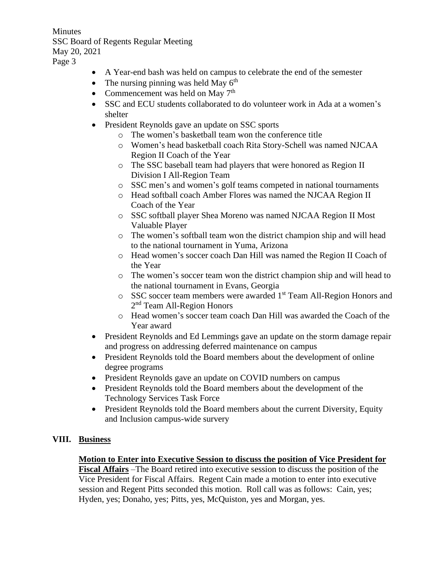- A Year-end bash was held on campus to celebrate the end of the semester
- The nursing pinning was held May  $6<sup>th</sup>$
- Commencement was held on May  $7<sup>th</sup>$
- SSC and ECU students collaborated to do volunteer work in Ada at a women's shelter
- President Reynolds gave an update on SSC sports
	- o The women's basketball team won the conference title
	- o Women's head basketball coach Rita Story-Schell was named NJCAA Region II Coach of the Year
	- o The SSC baseball team had players that were honored as Region II Division I All-Region Team
	- o SSC men's and women's golf teams competed in national tournaments
	- o Head softball coach Amber Flores was named the NJCAA Region II Coach of the Year
	- o SSC softball player Shea Moreno was named NJCAA Region II Most Valuable Player
	- o The women's softball team won the district champion ship and will head to the national tournament in Yuma, Arizona
	- o Head women's soccer coach Dan Hill was named the Region II Coach of the Year
	- o The women's soccer team won the district champion ship and will head to the national tournament in Evans, Georgia
	- o SSC soccer team members were awarded 1st Team All-Region Honors and 2<sup>nd</sup> Team All-Region Honors
	- o Head women's soccer team coach Dan Hill was awarded the Coach of the Year award
- President Reynolds and Ed Lemmings gave an update on the storm damage repair and progress on addressing deferred maintenance on campus
- President Reynolds told the Board members about the development of online degree programs
- President Reynolds gave an update on COVID numbers on campus
- President Reynolds told the Board members about the development of the Technology Services Task Force
- President Reynolds told the Board members about the current Diversity, Equity and Inclusion campus-wide survery

# **VIII. Business**

# **Motion to Enter into Executive Session to discuss the position of Vice President for**

**Fiscal Affairs** –The Board retired into executive session to discuss the position of the Vice President for Fiscal Affairs. Regent Cain made a motion to enter into executive session and Regent Pitts seconded this motion. Roll call was as follows: Cain, yes; Hyden, yes; Donaho, yes; Pitts, yes, McQuiston, yes and Morgan, yes.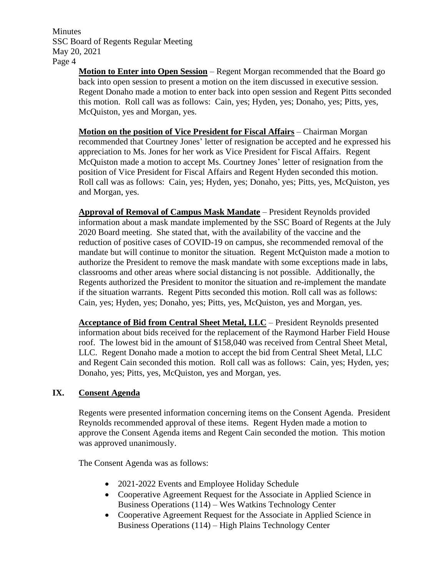> **Motion to Enter into Open Session** – Regent Morgan recommended that the Board go back into open session to present a motion on the item discussed in executive session. Regent Donaho made a motion to enter back into open session and Regent Pitts seconded this motion. Roll call was as follows: Cain, yes; Hyden, yes; Donaho, yes; Pitts, yes, McQuiston, yes and Morgan, yes.

> **Motion on the position of Vice President for Fiscal Affairs** – Chairman Morgan recommended that Courtney Jones' letter of resignation be accepted and he expressed his appreciation to Ms. Jones for her work as Vice President for Fiscal Affairs. Regent McQuiston made a motion to accept Ms. Courtney Jones' letter of resignation from the position of Vice President for Fiscal Affairs and Regent Hyden seconded this motion. Roll call was as follows: Cain, yes; Hyden, yes; Donaho, yes; Pitts, yes, McQuiston, yes and Morgan, yes.

> **Approval of Removal of Campus Mask Mandate** – President Reynolds provided information about a mask mandate implemented by the SSC Board of Regents at the July 2020 Board meeting. She stated that, with the availability of the vaccine and the reduction of positive cases of COVID-19 on campus, she recommended removal of the mandate but will continue to monitor the situation. Regent McQuiston made a motion to authorize the President to remove the mask mandate with some exceptions made in labs, classrooms and other areas where social distancing is not possible. Additionally, the Regents authorized the President to monitor the situation and re-implement the mandate if the situation warrants. Regent Pitts seconded this motion. Roll call was as follows: Cain, yes; Hyden, yes; Donaho, yes; Pitts, yes, McQuiston, yes and Morgan, yes.

> **Acceptance of Bid from Central Sheet Metal, LLC** – President Reynolds presented information about bids received for the replacement of the Raymond Harber Field House roof. The lowest bid in the amount of \$158,040 was received from Central Sheet Metal, LLC. Regent Donaho made a motion to accept the bid from Central Sheet Metal, LLC and Regent Cain seconded this motion. Roll call was as follows: Cain, yes; Hyden, yes; Donaho, yes; Pitts, yes, McQuiston, yes and Morgan, yes.

# **IX. Consent Agenda**

Regents were presented information concerning items on the Consent Agenda. President Reynolds recommended approval of these items. Regent Hyden made a motion to approve the Consent Agenda items and Regent Cain seconded the motion. This motion was approved unanimously.

The Consent Agenda was as follows:

- 2021-2022 Events and Employee Holiday Schedule
- Cooperative Agreement Request for the Associate in Applied Science in Business Operations (114) – Wes Watkins Technology Center
- Cooperative Agreement Request for the Associate in Applied Science in Business Operations (114) – High Plains Technology Center